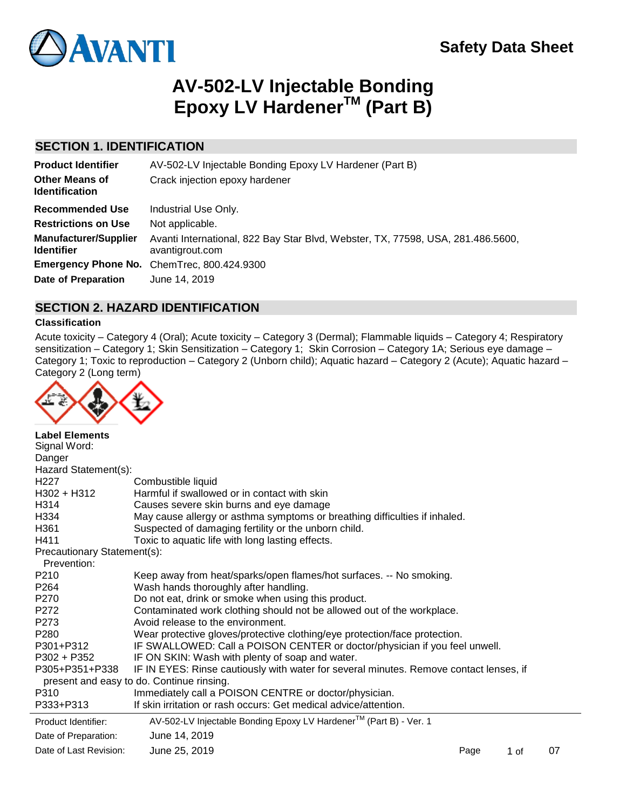# **AV-502-LV Injectable Bonding Epoxy LV HardenerTM (Part B)**

### **SECTION 1. IDENTIFICATION**

| AV-502-LV Injectable Bonding Epoxy LV Hardener (Part B)                                            |
|----------------------------------------------------------------------------------------------------|
| Crack injection epoxy hardener                                                                     |
| Industrial Use Only.                                                                               |
| Not applicable.                                                                                    |
| Avanti International, 822 Bay Star Blvd, Webster, TX, 77598, USA, 281.486.5600,<br>avantigrout.com |
| <b>Emergency Phone No.</b> ChemTrec, 800.424.9300                                                  |
| June 14, 2019                                                                                      |
|                                                                                                    |

### **SECTION 2. HAZARD IDENTIFICATION**

### **Classification**

Acute toxicity – Category 4 (Oral); Acute toxicity – Category 3 (Dermal); Flammable liquids – Category 4; Respiratory sensitization – Category 1; Skin Sensitization – Category 1; Skin Corrosion – Category 1A; Serious eye damage – Category 1; Toxic to reproduction – Category 2 (Unborn child); Aquatic hazard – Category 2 (Acute); Aquatic hazard – Category 2 (Long term)



| <b>Label Elements</b><br>Signal Word:      |                                                                                                                                     |      |      |    |
|--------------------------------------------|-------------------------------------------------------------------------------------------------------------------------------------|------|------|----|
| Danger                                     |                                                                                                                                     |      |      |    |
| Hazard Statement(s):                       |                                                                                                                                     |      |      |    |
| H <sub>22</sub> 7                          | Combustible liquid                                                                                                                  |      |      |    |
| $H302 + H312$                              | Harmful if swallowed or in contact with skin                                                                                        |      |      |    |
| H314                                       | Causes severe skin burns and eye damage                                                                                             |      |      |    |
| H334                                       | May cause allergy or asthma symptoms or breathing difficulties if inhaled.                                                          |      |      |    |
| H <sub>361</sub>                           | Suspected of damaging fertility or the unborn child.                                                                                |      |      |    |
| H411                                       | Toxic to aquatic life with long lasting effects.                                                                                    |      |      |    |
| Precautionary Statement(s):<br>Prevention: |                                                                                                                                     |      |      |    |
| P210                                       | Keep away from heat/sparks/open flames/hot surfaces. -- No smoking.                                                                 |      |      |    |
| P <sub>264</sub>                           | Wash hands thoroughly after handling.                                                                                               |      |      |    |
| P270                                       | Do not eat, drink or smoke when using this product.                                                                                 |      |      |    |
| P272                                       | Contaminated work clothing should not be allowed out of the workplace.                                                              |      |      |    |
| P273                                       | Avoid release to the environment.                                                                                                   |      |      |    |
| P280                                       | Wear protective gloves/protective clothing/eye protection/face protection.                                                          |      |      |    |
| P301+P312                                  | IF SWALLOWED: Call a POISON CENTER or doctor/physician if you feel unwell.                                                          |      |      |    |
| $P302 + P352$                              | IF ON SKIN: Wash with plenty of soap and water.                                                                                     |      |      |    |
| P305+P351+P338                             | IF IN EYES: Rinse cautiously with water for several minutes. Remove contact lenses, if<br>present and easy to do. Continue rinsing. |      |      |    |
| P310                                       | Immediately call a POISON CENTRE or doctor/physician.                                                                               |      |      |    |
| P333+P313                                  | If skin irritation or rash occurs: Get medical advice/attention.                                                                    |      |      |    |
| Product Identifier:                        | AV-502-LV Injectable Bonding Epoxy LV Hardener™ (Part B) - Ver. 1                                                                   |      |      |    |
| Date of Preparation:                       | June 14, 2019                                                                                                                       |      |      |    |
| Date of Last Revision:                     | June 25, 2019                                                                                                                       | Page | 1 of | 07 |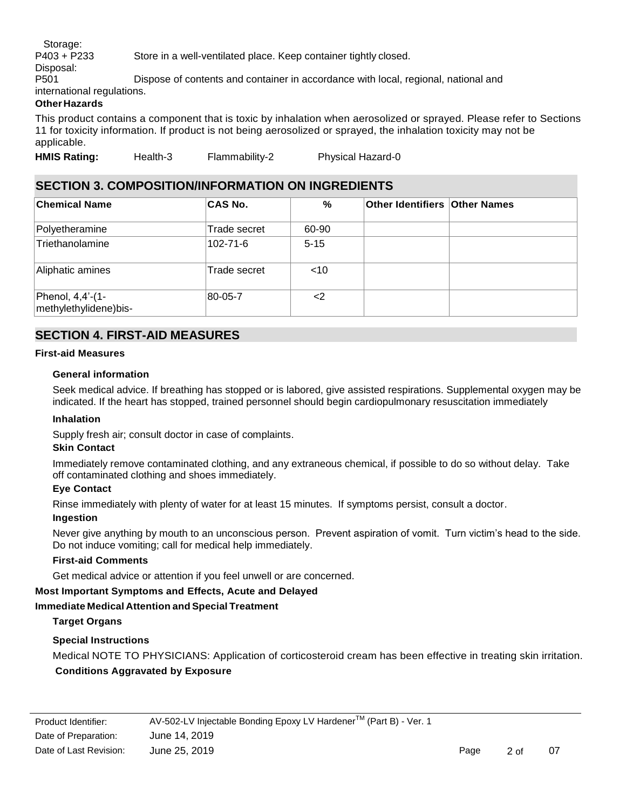Storage: P403 + P233 Store in a well-ventilated place. Keep container tightly closed. Disposal: P501 Dispose of contents and container in accordance with local, regional, national and

international regulations.

### **Other Hazards**

This product contains a component that is toxic by inhalation when aerosolized or sprayed. Please refer to Sections 11 for toxicity information. If product is not being aerosolized or sprayed, the inhalation toxicity may not be applicable.

**HMIS Rating:** Health-3 Flammability-2 Physical Hazard-0

### **SECTION 3. COMPOSITION/INFORMATION ON INGREDIENTS**

| <b>Chemical Name</b>                      | <b>CAS No.</b> | %        | <b>Other Identifiers Other Names</b> |  |
|-------------------------------------------|----------------|----------|--------------------------------------|--|
| Polyetheramine                            | Trade secret   | 60-90    |                                      |  |
| Triethanolamine                           | 102-71-6       | $5 - 15$ |                                      |  |
| Aliphatic amines                          | Trade secret   | $<$ 10   |                                      |  |
| Phenol, 4,4'-(1-<br>methylethylidene)bis- | 80-05-7        | <        |                                      |  |

### **SECTION 4. FIRST-AID MEASURES**

### **First-aid Measures**

### **General information**

Seek medical advice. If breathing has stopped or is labored, give assisted respirations. Supplemental oxygen may be indicated. If the heart has stopped, trained personnel should begin cardiopulmonary resuscitation immediately

### **Inhalation**

Supply fresh air; consult doctor in case of complaints.

### **Skin Contact**

Immediately remove contaminated clothing, and any extraneous chemical, if possible to do so without delay. Take off contaminated clothing and shoes immediately.

#### **Eye Contact**

Rinse immediately with plenty of water for at least 15 minutes. If symptoms persist, consult a doctor.

### **Ingestion**

Never give anything by mouth to an unconscious person. Prevent aspiration of vomit. Turn victim's head to the side. Do not induce vomiting; call for medical help immediately.

#### **First-aid Comments**

Get medical advice or attention if you feel unwell or are concerned.

### **Most Important Symptoms and Effects, Acute and Delayed**

### **Immediate Medical Attention and Special Treatment**

### **Target Organs**

### **Special Instructions**

Medical NOTE TO PHYSICIANS: Application of corticosteroid cream has been effective in treating skin irritation. **Conditions Aggravated by Exposure**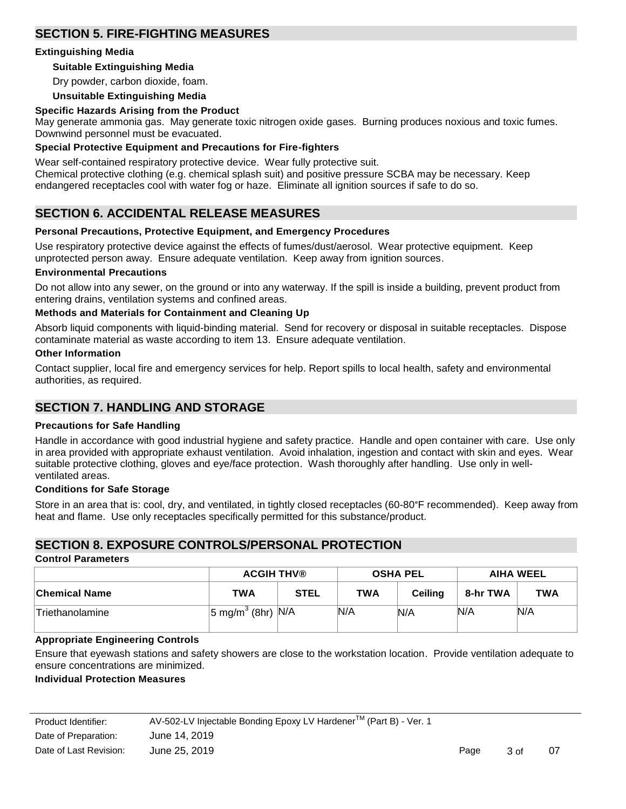### **SECTION 5. FIRE-FIGHTING MEASURES**

### **Extinguishing Media**

### **Suitable Extinguishing Media**

Dry powder, carbon dioxide, foam.

### **Unsuitable Extinguishing Media**

#### **Specific Hazards Arising from the Product**

May generate ammonia gas. May generate toxic nitrogen oxide gases. Burning produces noxious and toxic fumes. Downwind personnel must be evacuated.

### **Special Protective Equipment and Precautions for Fire-fighters**

Wear self-contained respiratory protective device. Wear fully protective suit.

Chemical protective clothing (e.g. chemical splash suit) and positive pressure SCBA may be necessary. Keep endangered receptacles cool with water fog or haze. Eliminate all ignition sources if safe to do so.

### **SECTION 6. ACCIDENTAL RELEASE MEASURES**

### **Personal Precautions, Protective Equipment, and Emergency Procedures**

Use respiratory protective device against the effects of fumes/dust/aerosol. Wear protective equipment. Keep unprotected person away. Ensure adequate ventilation. Keep away from ignition sources.

#### **Environmental Precautions**

Do not allow into any sewer, on the ground or into any waterway. If the spill is inside a building, prevent product from entering drains, ventilation systems and confined areas.

### **Methods and Materials for Containment and Cleaning Up**

Absorb liquid components with liquid-binding material. Send for recovery or disposal in suitable receptacles. Dispose contaminate material as waste according to item 13. Ensure adequate ventilation.

#### **Other Information**

Contact supplier, local fire and emergency services for help. Report spills to local health, safety and environmental authorities, as required.

### **SECTION 7. HANDLING AND STORAGE**

#### **Precautions for Safe Handling**

Handle in accordance with good industrial hygiene and safety practice. Handle and open container with care. Use only in area provided with appropriate exhaust ventilation. Avoid inhalation, ingestion and contact with skin and eyes. Wear suitable protective clothing, gloves and eye/face protection. Wash thoroughly after handling. Use only in wellventilated areas.

#### **Conditions for Safe Storage**

Store in an area that is: cool, dry, and ventilated, in tightly closed receptacles (60-80°F recommended). Keep away from heat and flame. Use only receptacles specifically permitted for this substance/product.

### **SECTION 8. EXPOSURE CONTROLS/PERSONAL PROTECTION**

#### **Control Parameters**

|                 | <b>ACGIH THV®</b>                 |             | <b>OSHA PEL</b> |                | AIHA WEEL |            |
|-----------------|-----------------------------------|-------------|-----------------|----------------|-----------|------------|
| ∣Chemical Name  | <b>TWA</b>                        | <b>STEL</b> | <b>TWA</b>      | <b>Ceiling</b> | 8-hr TWA  | <b>TWA</b> |
| Triethanolamine | $ 5 \text{ mg/m}^3$ (8hr) $ N/A $ |             | N/A             | N/A            | N/A       | N/A        |

### **Appropriate Engineering Controls**

Ensure that eyewash stations and safety showers are close to the workstation location. Provide ventilation adequate to ensure concentrations are minimized.

#### **Individual Protection Measures**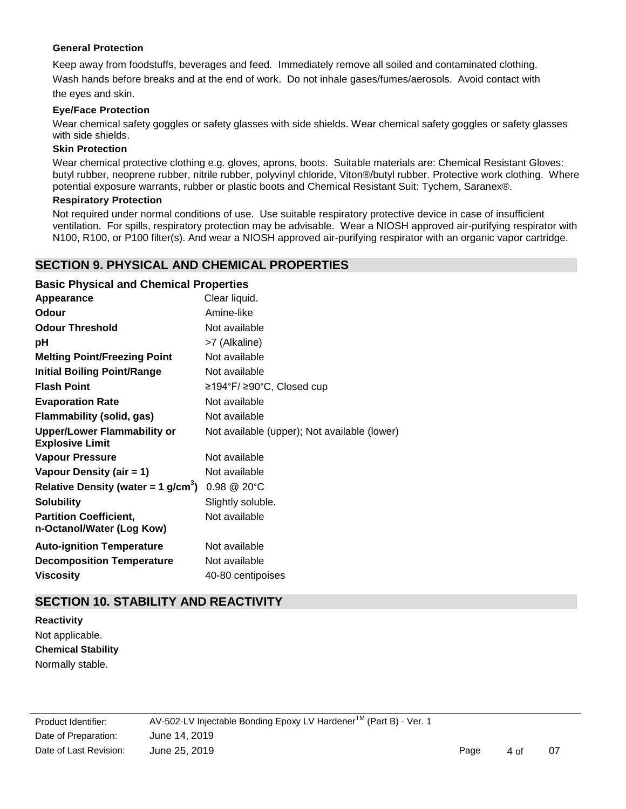### **General Protection**

Keep away from foodstuffs, beverages and feed. Immediately remove all soiled and contaminated clothing. Wash hands before breaks and at the end of work. Do not inhale gases/fumes/aerosols. Avoid contact with the eyes and skin.

### **Eye/Face Protection**

Wear chemical safety goggles or safety glasses with side shields. Wear chemical safety goggles or safety glasses with side shields.

### **Skin Protection**

Wear chemical protective clothing e.g. gloves, aprons, boots. Suitable materials are: Chemical Resistant Gloves: butyl rubber, neoprene rubber, nitrile rubber, polyvinyl chloride, Viton®/butyl rubber. Protective work clothing. Where potential exposure warrants, rubber or plastic boots and Chemical Resistant Suit: Tychem, Saranex®.

### **Respiratory Protection**

Not required under normal conditions of use. Use suitable respiratory protective device in case of insufficient ventilation. For spills, respiratory protection may be advisable. Wear a NIOSH approved air-purifying respirator with N100, R100, or P100 filter(s). And wear a NIOSH approved air-purifying respirator with an organic vapor cartridge.

### **SECTION 9. PHYSICAL AND CHEMICAL PROPERTIES**

### **Basic Physical and Chemical Properties**

| Appearance                                                   | Clear liquid.                                |
|--------------------------------------------------------------|----------------------------------------------|
| Odour                                                        | Amine-like                                   |
| <b>Odour Threshold</b>                                       | Not available                                |
| рH                                                           | >7 (Alkaline)                                |
| <b>Melting Point/Freezing Point</b>                          | Not available                                |
| <b>Initial Boiling Point/Range</b>                           | Not available                                |
| <b>Flash Point</b>                                           | ≥194°F/ ≥90°C, Closed cup                    |
| <b>Evaporation Rate</b>                                      | Not available                                |
| <b>Flammability (solid, gas)</b>                             | Not available                                |
| <b>Upper/Lower Flammability or</b><br><b>Explosive Limit</b> | Not available (upper); Not available (lower) |
| <b>Vapour Pressure</b>                                       | Not available                                |
| Vapour Density (air = 1)                                     | Not available                                |
| Relative Density (water = 1 g/cm <sup>3</sup> )              | 0.98 @ 20°C                                  |
| <b>Solubility</b>                                            | Slightly soluble.                            |
| <b>Partition Coefficient,</b><br>n-Octanol/Water (Log Kow)   | Not available                                |
| <b>Auto-ignition Temperature</b>                             | Not available                                |
| <b>Decomposition Temperature</b>                             | Not available                                |
| <b>Viscosity</b>                                             | 40-80 centipoises                            |

### **SECTION 10. STABILITY AND REACTIVITY**

**Reactivity** Not applicable. **Chemical Stability**  Normally stable.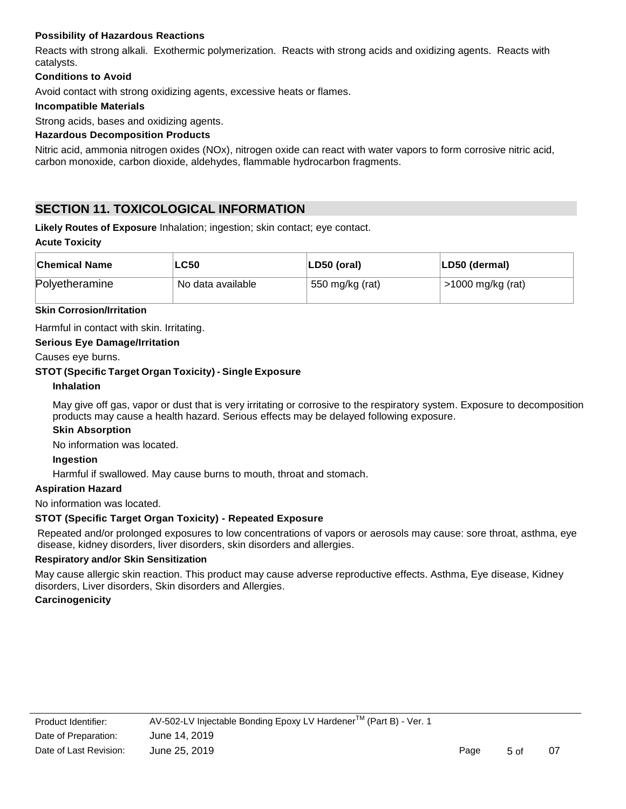### **Possibility of Hazardous Reactions**

Reacts with strong alkali. Exothermic polymerization. Reacts with strong acids and oxidizing agents. Reacts with catalysts.

### **Conditions to Avoid**

Avoid contact with strong oxidizing agents, excessive heats or flames.

### **Incompatible Materials**

Strong acids, bases and oxidizing agents.

### **Hazardous Decomposition Products**

Nitric acid, ammonia nitrogen oxides (NOx), nitrogen oxide can react with water vapors to form corrosive nitric acid, carbon monoxide, carbon dioxide, aldehydes, flammable hydrocarbon fragments.

### **SECTION 11. TOXICOLOGICAL INFORMATION**

**Likely Routes of Exposure** Inhalation; ingestion; skin contact; eye contact.

### **Acute Toxicity**

| <b>Chemical Name</b> | LC50                 | LD50 (oral)     | LD50 (dermal)     |
|----------------------|----------------------|-----------------|-------------------|
| Polyetheramine       | 'No data available l | 550 mg/kg (rat) | >1000 mg/kg (rat) |

#### **Skin Corrosion/Irritation**

Harmful in contact with skin. Irritating.

### **Serious Eye Damage/Irritation**

Causes eye burns.

### **STOT (Specific Target Organ Toxicity) - Single Exposure**

#### **Inhalation**

May give off gas, vapor or dust that is very irritating or corrosive to the respiratory system. Exposure to decomposition products may cause a health hazard. Serious effects may be delayed following exposure.

#### **Skin Absorption**

No information was located.

#### **Ingestion**

Harmful if swallowed. May cause burns to mouth, throat and stomach.

#### **Aspiration Hazard**

No information was located.

### **STOT (Specific Target Organ Toxicity) - Repeated Exposure**

Repeated and/or prolonged exposures to low concentrations of vapors or aerosols may cause: sore throat, asthma, eye disease, kidney disorders, liver disorders, skin disorders and allergies.

### **Respiratory and/or Skin Sensitization**

May cause allergic skin reaction. This product may cause adverse reproductive effects. Asthma, Eye disease, Kidney disorders, Liver disorders, Skin disorders and Allergies.

#### **Carcinogenicity**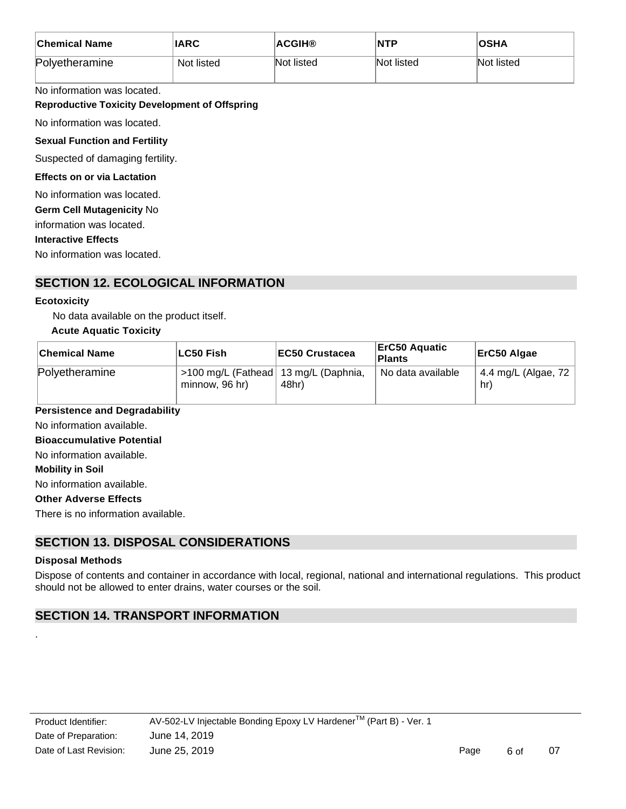| <b>Chemical Name</b> | <b>IARC</b> | <b>ACGIH®</b> | <b>NTP</b> | <b>OSHA</b> |
|----------------------|-------------|---------------|------------|-------------|
| Polyetheramine       | Not listed  | Not listed    | Not listed | Not listed  |

No information was located.

### **Reproductive Toxicity Development of Offspring**

No information was located.

### **Sexual Function and Fertility**

Suspected of damaging fertility.

#### **Effects on or via Lactation**

No information was located.

**Germ Cell Mutagenicity** No

information was located.

**Interactive Effects**

No information was located.

### **SECTION 12. ECOLOGICAL INFORMATION**

### **Ecotoxicity**

No data available on the product itself.

### **Acute Aquatic Toxicity**

| <b>Chemical Name</b> | LC50 Fish                                                | <b>EC50 Crustacea</b> | ErC50 Aquatic<br><b>Plants</b> | ErC50 Algae                  |
|----------------------|----------------------------------------------------------|-----------------------|--------------------------------|------------------------------|
| Polyetheramine       | 5100 mg/L (Fathead   13 mg/L (Daphnia,<br>minnow, 96 hr) | 48hr)                 | <sup>1</sup> No data available | 4.4 mg/L (Algae, 72  <br>hr) |

### **Persistence and Degradability**

No information available.

### **Bioaccumulative Potential**

No information available.

**Mobility in Soil**

No information available.

### **Other Adverse Effects**

There is no information available.

### **SECTION 13. DISPOSAL CONSIDERATIONS**

#### **Disposal Methods**

.

Dispose of contents and container in accordance with local, regional, national and international regulations. This product should not be allowed to enter drains, water courses or the soil.

### **SECTION 14. TRANSPORT INFORMATION**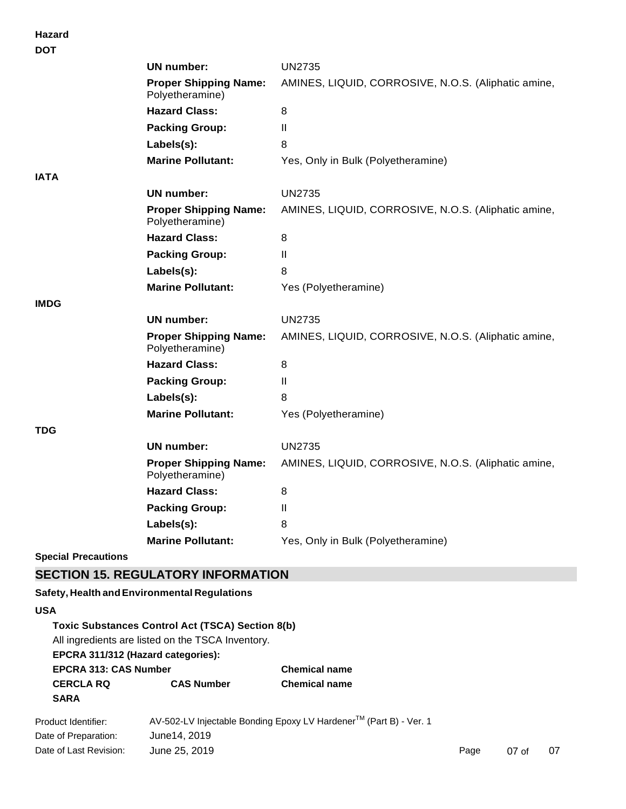**Hazard**

| <b>DOT</b>                 |                                                 |                                                     |
|----------------------------|-------------------------------------------------|-----------------------------------------------------|
|                            | <b>UN number:</b>                               | <b>UN2735</b>                                       |
|                            | <b>Proper Shipping Name:</b><br>Polyetheramine) | AMINES, LIQUID, CORROSIVE, N.O.S. (Aliphatic amine, |
|                            | <b>Hazard Class:</b>                            | 8                                                   |
|                            | <b>Packing Group:</b>                           | $\mathbf{I}$                                        |
|                            | Labels(s):                                      | 8                                                   |
|                            | <b>Marine Pollutant:</b>                        | Yes, Only in Bulk (Polyetheramine)                  |
| <b>IATA</b>                |                                                 |                                                     |
|                            | UN number:                                      | <b>UN2735</b>                                       |
|                            | <b>Proper Shipping Name:</b><br>Polyetheramine) | AMINES, LIQUID, CORROSIVE, N.O.S. (Aliphatic amine, |
|                            | <b>Hazard Class:</b>                            | 8                                                   |
|                            | <b>Packing Group:</b>                           | Ш                                                   |
|                            | Labels(s):                                      | 8                                                   |
|                            | <b>Marine Pollutant:</b>                        | Yes (Polyetheramine)                                |
| <b>IMDG</b>                |                                                 |                                                     |
|                            | UN number:                                      | <b>UN2735</b>                                       |
|                            | <b>Proper Shipping Name:</b><br>Polyetheramine) | AMINES, LIQUID, CORROSIVE, N.O.S. (Aliphatic amine, |
|                            | <b>Hazard Class:</b>                            | 8                                                   |
|                            | <b>Packing Group:</b>                           | Ш                                                   |
|                            | Labels(s):                                      | 8                                                   |
|                            | <b>Marine Pollutant:</b>                        | Yes (Polyetheramine)                                |
| <b>TDG</b>                 |                                                 |                                                     |
|                            | UN number:                                      | <b>UN2735</b>                                       |
|                            | <b>Proper Shipping Name:</b><br>Polyetheramine) | AMINES, LIQUID, CORROSIVE, N.O.S. (Aliphatic amine, |
|                            | <b>Hazard Class:</b>                            | 8                                                   |
|                            | <b>Packing Group:</b>                           | $\mathbf{I}$                                        |
|                            | Labels(s):                                      | 8                                                   |
|                            | <b>Marine Pollutant:</b>                        | Yes, Only in Bulk (Polyetheramine)                  |
| <b>Special Precautions</b> |                                                 |                                                     |

### **SECTION 15. REGULATORY INFORMATION**

### **Safety, Health andEnvironmental Regulations**

### **USA**

### **Toxic Substances Control Act (TSCA) Section 8(b)**

All ingredients are listed on the TSCA Inventory.

## **EPCRA 311/312 (Hazard categories):**

**EPCRA 313: CAS Number Chemical name CERCLA RQ CAS Number Chemical name SARA**

| Product Identifier:    | AV-502-LV Injectable Bonding Epoxy LV Hardener™ (Part B) - Ver. 1 |      |                 |    |
|------------------------|-------------------------------------------------------------------|------|-----------------|----|
| Date of Preparation:   | June14, 2019                                                      |      |                 |    |
| Date of Last Revision: | June 25, 2019                                                     | Page | $07 \text{ of}$ | 07 |